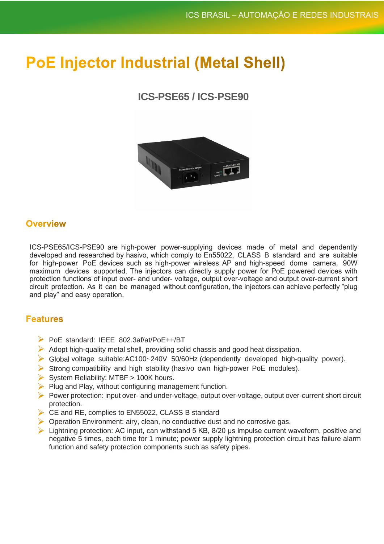# **PoE Injector Industrial (Metal Shell)**

# **ICS-PSE65 / ICS-PSE90**



## **Overview**

ICS-PSE65/ICS-PSE90 are high-power power-supplying devices made of metal and dependently developed and researched by hasivo, which comply to En55022, CLASS B standard and are suitable for high-power PoE devices such as high-power wireless AP and high-speed dome camera, 90W maximum devices supported. The injectors can directly supply power for PoE powered devices with protection functions of input over- and under- voltage, output over-voltage and output over-current short circuit protection. As it can be managed without configuration, the injectors can achieve perfectly "plug and play" and easy operation.

## **Features**

- PoE standard: IEEE 802.3af/at/PoE++/BT
- $\triangleright$  Adopt high-quality metal shell, providing solid chassis and good heat dissipation.
- Global voltage suitable:AC100~240V 50/60Hz (dependently developed high-quality power).
- Strong compatibility and high stability (hasivo own high-power PoE modules).
- $\triangleright$  System Reliability: MTBF > 100K hours.
- $\triangleright$  Plug and Play, without configuring management function.
- Power protection: input over- and under-voltage, output over-voltage, output over-current short circuit protection.
- CE and RE, complies to EN55022, CLASS B standard
- **Operation Environment: airy, clean, no conductive dust and no corrosive gas.**
- $\triangleright$  Lightning protection: AC input, can withstand 5 KB, 8/20 us impulse current waveform, positive and negative 5 times, each time for 1 minute; power supply lightning protection circuit has failure alarm function and safety protection components such as safety pipes.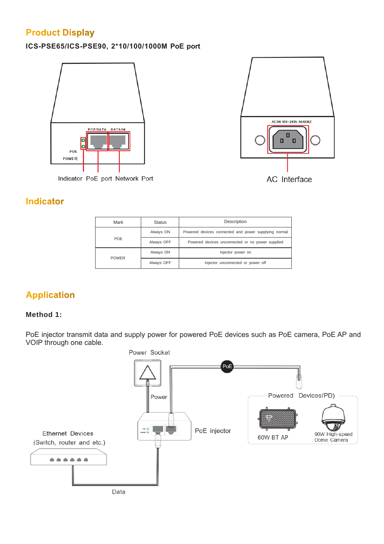# **Product Display**

## **ICS-PSE65/ICS-PSE90, 2\*10/100/1000M PoE port**





## **Indicator**

| Mark         | <b>Status</b> | Description                                          |
|--------------|---------------|------------------------------------------------------|
| POE          | Always ON     | Powered devices connected and power supplying normal |
|              | Always OFF    | Powered devices unconnected or no power supplied     |
| <b>POWER</b> | Always ON     | Injector power on                                    |
|              | Always OFF    | Injector unconnected or power off                    |

## **Application**

### **Method 1:**

PoE injector transmit data and supply power for powered PoE devices such as PoE camera, PoE AP and VOIP through one cable.